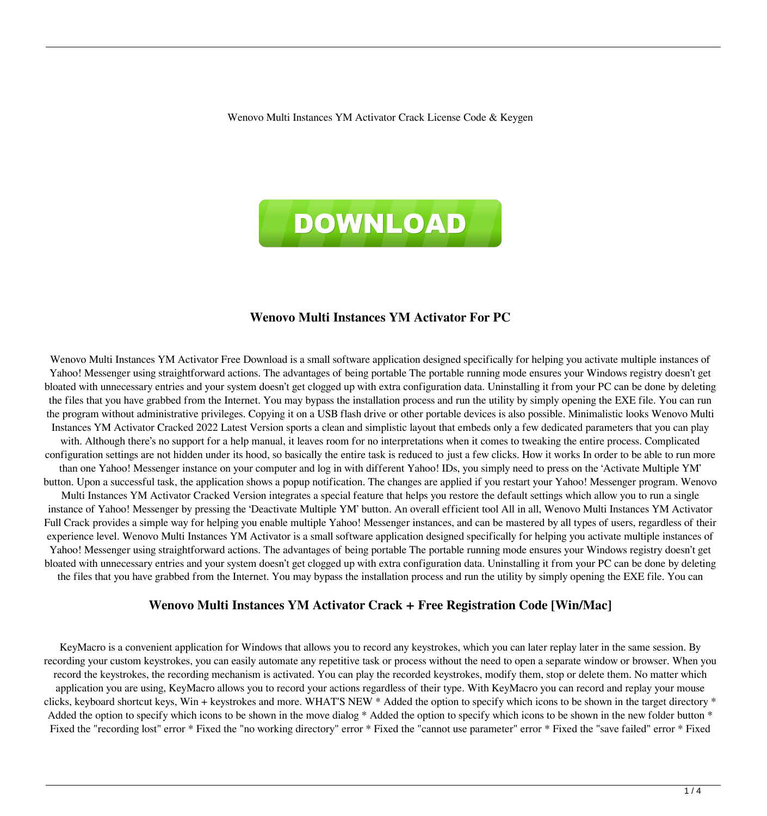Wenovo Multi Instances YM Activator Crack License Code & Keygen



### **Wenovo Multi Instances YM Activator For PC**

Wenovo Multi Instances YM Activator Free Download is a small software application designed specifically for helping you activate multiple instances of Yahoo! Messenger using straightforward actions. The advantages of being portable The portable running mode ensures your Windows registry doesn't get bloated with unnecessary entries and your system doesn't get clogged up with extra configuration data. Uninstalling it from your PC can be done by deleting the files that you have grabbed from the Internet. You may bypass the installation process and run the utility by simply opening the EXE file. You can run the program without administrative privileges. Copying it on a USB flash drive or other portable devices is also possible. Minimalistic looks Wenovo Multi Instances YM Activator Cracked 2022 Latest Version sports a clean and simplistic layout that embeds only a few dedicated parameters that you can play with. Although there's no support for a help manual, it leaves room for no interpretations when it comes to tweaking the entire process. Complicated configuration settings are not hidden under its hood, so basically the entire task is reduced to just a few clicks. How it works In order to be able to run more than one Yahoo! Messenger instance on your computer and log in with different Yahoo! IDs, you simply need to press on the 'Activate Multiple YM' button. Upon a successful task, the application shows a popup notification. The changes are applied if you restart your Yahoo! Messenger program. Wenovo Multi Instances YM Activator Cracked Version integrates a special feature that helps you restore the default settings which allow you to run a single instance of Yahoo! Messenger by pressing the 'Deactivate Multiple YM' button. An overall efficient tool All in all, Wenovo Multi Instances YM Activator Full Crack provides a simple way for helping you enable multiple Yahoo! Messenger instances, and can be mastered by all types of users, regardless of their experience level. Wenovo Multi Instances YM Activator is a small software application designed specifically for helping you activate multiple instances of Yahoo! Messenger using straightforward actions. The advantages of being portable The portable running mode ensures your Windows registry doesn't get bloated with unnecessary entries and your system doesn't get clogged up with extra configuration data. Uninstalling it from your PC can be done by deleting the files that you have grabbed from the Internet. You may bypass the installation process and run the utility by simply opening the EXE file. You can

#### **Wenovo Multi Instances YM Activator Crack + Free Registration Code [Win/Mac]**

KeyMacro is a convenient application for Windows that allows you to record any keystrokes, which you can later replay later in the same session. By recording your custom keystrokes, you can easily automate any repetitive task or process without the need to open a separate window or browser. When you record the keystrokes, the recording mechanism is activated. You can play the recorded keystrokes, modify them, stop or delete them. No matter which application you are using, KeyMacro allows you to record your actions regardless of their type. With KeyMacro you can record and replay your mouse clicks, keyboard shortcut keys, Win + keystrokes and more. WHAT'S NEW \* Added the option to specify which icons to be shown in the target directory \* Added the option to specify which icons to be shown in the move dialog \* Added the option to specify which icons to be shown in the new folder button \* Fixed the "recording lost" error \* Fixed the "no working directory" error \* Fixed the "cannot use parameter" error \* Fixed the "save failed" error \* Fixed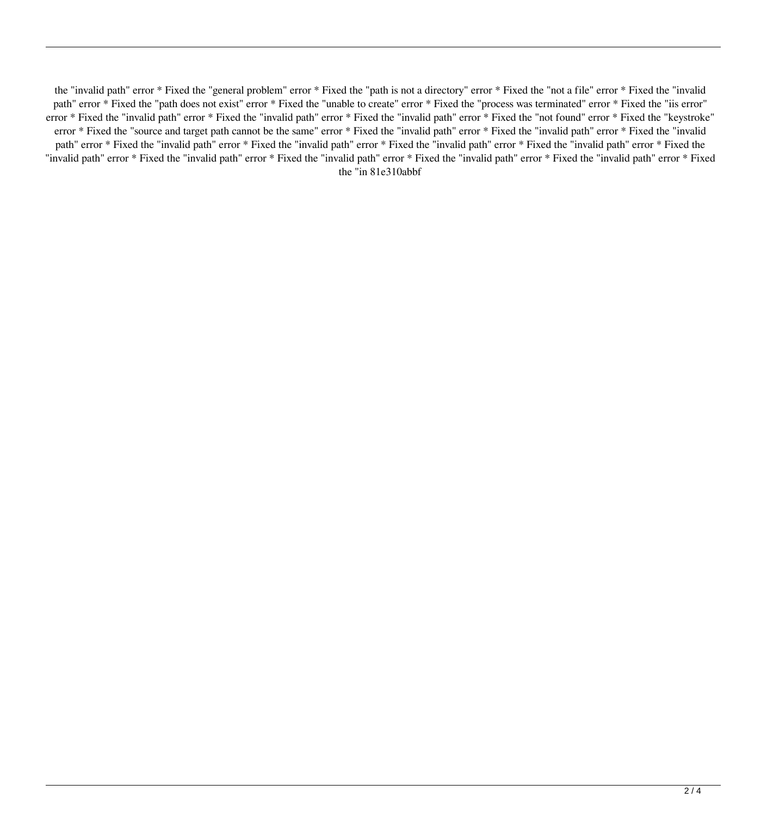the "invalid path" error \* Fixed the "general problem" error \* Fixed the "path is not a directory" error \* Fixed the "not a file" error \* Fixed the "invalid path" error \* Fixed the "path does not exist" error \* Fixed the "unable to create" error \* Fixed the "process was terminated" error \* Fixed the "iis error" error \* Fixed the "invalid path" error \* Fixed the "invalid path" error \* Fixed the "invalid path" error \* Fixed the "not found" error \* Fixed the "keystroke" error \* Fixed the "source and target path cannot be the same" error \* Fixed the "invalid path" error \* Fixed the "invalid path" error \* Fixed the "invalid path" error \* Fixed the "invalid path" error \* Fixed the "invalid path" error \* Fixed the "invalid path" error \* Fixed the "invalid path" error \* Fixed the "invalid path" error \* Fixed the "invalid path" error \* Fixed the "invalid path" error \* Fixed the "invalid path" error \* Fixed the "invalid path" error \* Fixed the "in 81e310abbf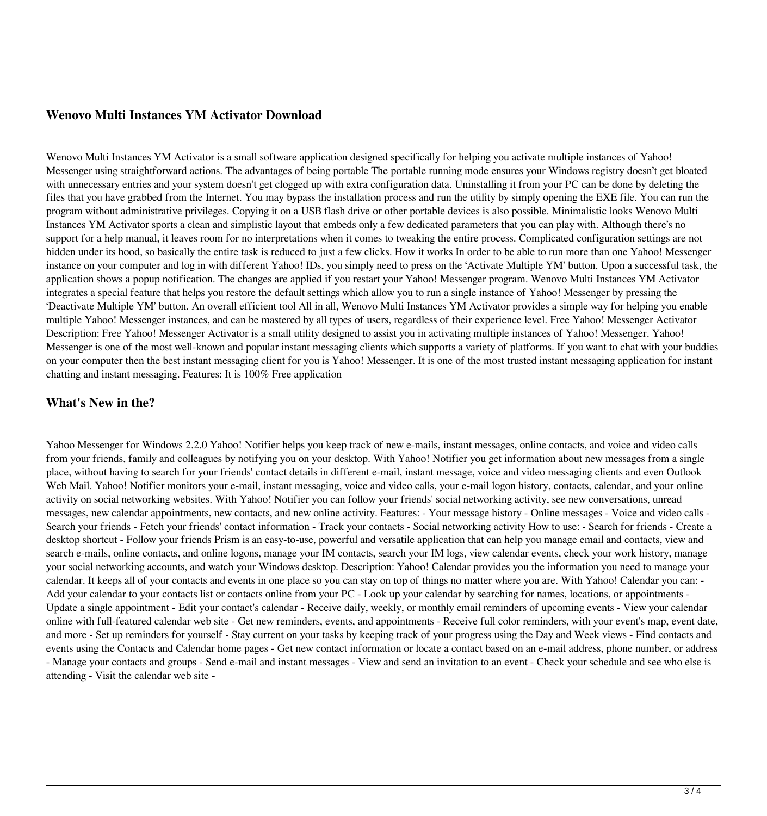# **Wenovo Multi Instances YM Activator Download**

Wenovo Multi Instances YM Activator is a small software application designed specifically for helping you activate multiple instances of Yahoo! Messenger using straightforward actions. The advantages of being portable The portable running mode ensures your Windows registry doesn't get bloated with unnecessary entries and your system doesn't get clogged up with extra configuration data. Uninstalling it from your PC can be done by deleting the files that you have grabbed from the Internet. You may bypass the installation process and run the utility by simply opening the EXE file. You can run the program without administrative privileges. Copying it on a USB flash drive or other portable devices is also possible. Minimalistic looks Wenovo Multi Instances YM Activator sports a clean and simplistic layout that embeds only a few dedicated parameters that you can play with. Although there's no support for a help manual, it leaves room for no interpretations when it comes to tweaking the entire process. Complicated configuration settings are not hidden under its hood, so basically the entire task is reduced to just a few clicks. How it works In order to be able to run more than one Yahoo! Messenger instance on your computer and log in with different Yahoo! IDs, you simply need to press on the 'Activate Multiple YM' button. Upon a successful task, the application shows a popup notification. The changes are applied if you restart your Yahoo! Messenger program. Wenovo Multi Instances YM Activator integrates a special feature that helps you restore the default settings which allow you to run a single instance of Yahoo! Messenger by pressing the 'Deactivate Multiple YM' button. An overall efficient tool All in all, Wenovo Multi Instances YM Activator provides a simple way for helping you enable multiple Yahoo! Messenger instances, and can be mastered by all types of users, regardless of their experience level. Free Yahoo! Messenger Activator Description: Free Yahoo! Messenger Activator is a small utility designed to assist you in activating multiple instances of Yahoo! Messenger. Yahoo! Messenger is one of the most well-known and popular instant messaging clients which supports a variety of platforms. If you want to chat with your buddies on your computer then the best instant messaging client for you is Yahoo! Messenger. It is one of the most trusted instant messaging application for instant chatting and instant messaging. Features: It is 100% Free application

## **What's New in the?**

Yahoo Messenger for Windows 2.2.0 Yahoo! Notifier helps you keep track of new e-mails, instant messages, online contacts, and voice and video calls from your friends, family and colleagues by notifying you on your desktop. With Yahoo! Notifier you get information about new messages from a single place, without having to search for your friends' contact details in different e-mail, instant message, voice and video messaging clients and even Outlook Web Mail. Yahoo! Notifier monitors your e-mail, instant messaging, voice and video calls, your e-mail logon history, contacts, calendar, and your online activity on social networking websites. With Yahoo! Notifier you can follow your friends' social networking activity, see new conversations, unread messages, new calendar appointments, new contacts, and new online activity. Features: - Your message history - Online messages - Voice and video calls - Search your friends - Fetch your friends' contact information - Track your contacts - Social networking activity How to use: - Search for friends - Create a desktop shortcut - Follow your friends Prism is an easy-to-use, powerful and versatile application that can help you manage email and contacts, view and search e-mails, online contacts, and online logons, manage your IM contacts, search your IM logs, view calendar events, check your work history, manage your social networking accounts, and watch your Windows desktop. Description: Yahoo! Calendar provides you the information you need to manage your calendar. It keeps all of your contacts and events in one place so you can stay on top of things no matter where you are. With Yahoo! Calendar you can: - Add your calendar to your contacts list or contacts online from your PC - Look up your calendar by searching for names, locations, or appointments - Update a single appointment - Edit your contact's calendar - Receive daily, weekly, or monthly email reminders of upcoming events - View your calendar online with full-featured calendar web site - Get new reminders, events, and appointments - Receive full color reminders, with your event's map, event date, and more - Set up reminders for yourself - Stay current on your tasks by keeping track of your progress using the Day and Week views - Find contacts and events using the Contacts and Calendar home pages - Get new contact information or locate a contact based on an e-mail address, phone number, or address - Manage your contacts and groups - Send e-mail and instant messages - View and send an invitation to an event - Check your schedule and see who else is attending - Visit the calendar web site -